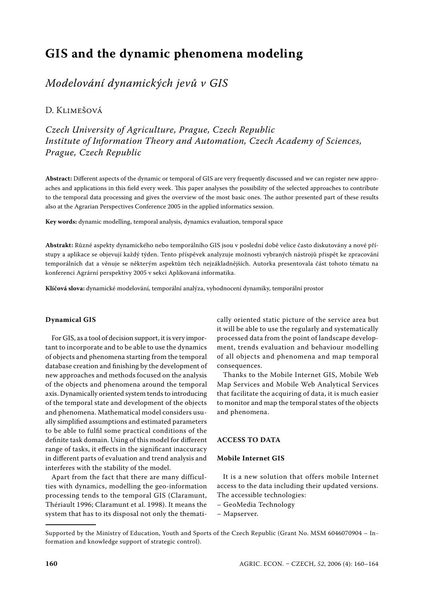# **GIS and the dynamic phenomena modeling**

## *Modelování dynamických jevů v GIS*

### D. KLIMEŠOVÁ

*Czech University of Agriculture, Prague, Czech Republic Institute of Information Theory and Automation, Czech Academy of Sciences, Prague, Czech Republic*

**Abstract:** Different aspects of the dynamic or temporal of GIS are very frequently discussed and we can register new approaches and applications in this field every week. This paper analyses the possibility of the selected approaches to contribute to the temporal data processing and gives the overview of the most basic ones. The author presented part of these results also at the Agrarian Perspectives Conference 2005 in the applied informatics session.

**Key words:** dynamic modelling, temporal analysis, dynamics evaluation, temporal space

**Abstrakt:** Různé aspekty dynamického nebo temporálního GIS jsou v poslední době velice často diskutovány a nové přístupy a aplikace se objevují každý týden. Tento příspěvek analyzuje možnosti vybraných nástrojů přispět ke zpracování temporálních dat a věnuje se některým aspektům těch nejzákladnějších. Autorka presentovala část tohoto tématu na konferenci Agrární perspektivy 2005 v sekci Aplikovaná informatika.

**Klíčová slova:** dynamické modelování, temporální analýza, vyhodnocení dynamiky, temporální prostor

#### **Dynamical GIS**

For GIS, as a tool of decision support, it is very important to incorporate and to be able to use the dynamics of objects and phenomena starting from the temporal database creation and finishing by the development of new approaches and methods focused on the analysis of the objects and phenomena around the temporal axis. Dynamically oriented system tends to introducing of the temporal state and development of the objects and phenomena. Mathematical model considers usually simplified assumptions and estimated parameters to be able to fulfil some practical conditions of the definite task domain. Using of this model for different range of tasks, it effects in the significant inaccuracy in different parts of evaluation and trend analysis and interferes with the stability of the model.

Apart from the fact that there are many difficulties with dynamics, modelling the geo-information processing tends to the temporal GIS (Claramunt, Thériault 1996; Claramunt et al. 1998). It means the system that has to its disposal not only the thematically oriented static picture of the service area but it will be able to use the regularly and systematically processed data from the point of landscape development, trends evaluation and behaviour modelling of all objects and phenomena and map temporal consequences.

Thanks to the Mobile Internet GIS, Mobile Web Map Services and Mobile Web Analytical Services that facilitate the acquiring of data, it is much easier to monitor and map the temporal states of the objects and phenomena.

#### **ACCESS TO DATA**

#### **Mobile Internet GIS**

It is a new solution that offers mobile Internet access to the data including their updated versions. The accessible technologies:

- GeoMedia Technology
- Mapserver.

Supported by the Ministry of Education, Youth and Sports of the Czech Republic (Grant No. MSM 6046070904 – Information and knowledge support of strategic control).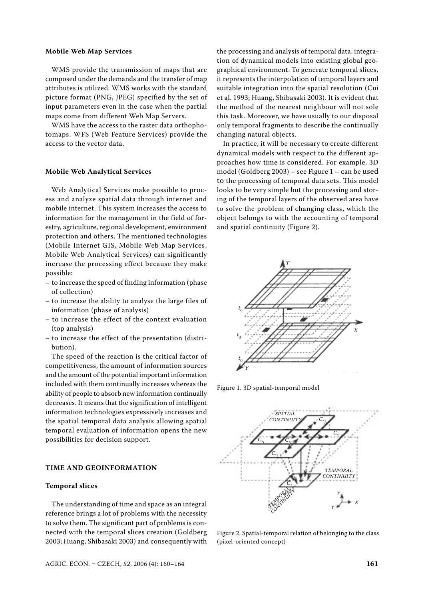#### **Mobile Web Map Services**

WMS provide the transmission of maps that are composed under the demands and the transfer of map attributes is utilized. WMS works with the standard picture format (PNG, JPEG) specified by the set of input parameters even in the case when the partial maps come from different Web Map Servers.

WMS have the access to the raster data orthophotomaps. WFS (Web Feature Services) provide the access to the vector data.

#### **Mobile Web Analytical Services**

Web Analytical Services make possible to process and analyze spatial data through internet and mobile internet. This system increases the access to information for the management in the field of forestry, agriculture, regional development, environment protection and others. The mentioned technologies (Mobile Internet GIS, Mobile Web Map Services, Mobile Web Analytical Services) can significantly increase the processing effect because they make possible:

- to increase the speed of finding information (phase of collection)
- to increase the ability to analyse the large files of information (phase of analysis)
- to increase the effect of the context evaluation (top analysis)
- to increase the effect of the presentation (distribution).

The speed of the reaction is the critical factor of competitiveness, the amount of information sources and the amount of the potential important information included with them continually increases whereas the ability of people to absorb new information continually decreases. It means that the signification of intelligent information technologies expressively increases and the spatial temporal data analysis allowing spatial temporal evaluation of information opens the new possibilities for decision support.

#### **TIME AND GEOINFORMATION**

#### **Temporal slices**

The understanding of time and space as an integral reference brings a lot of problems with the necessity to solve them. The significant part of problems is connected with the temporal slices creation (Goldberg 2003; Huang, Shibasaki 2003) and consequently with

the processing and analysis of temporal data, integration of dynamical models into existing global geographical environment. To generate temporal slices, it represents the interpolation of temporal layers and suitable integration into the spatial resolution (Cui et al. 1993; Huang, Shibasaki 2003). It is evident that the method of the nearest neighbour will not sole this task. Moreover, we have usually to our disposal only temporal fragments to describe the continually changing natural objects.

In practice, it will be necessary to create different dynamical models with respect to the different approaches how time is considered. For example, 3D model (Goldberg 2003) – see Figure 1 – can be used to the processing of temporal data sets. This model looks to be very simple but the processing and storing of the temporal layers of the observed area have to solve the problem of changing class, which the object belongs to with the accounting of temporal and spatial continuity (Figure 2).



Figure 1. 3D spatial-temporal model



Figure 2. Spatial-temporal relation of belonging to the class (pixel-oriented concept)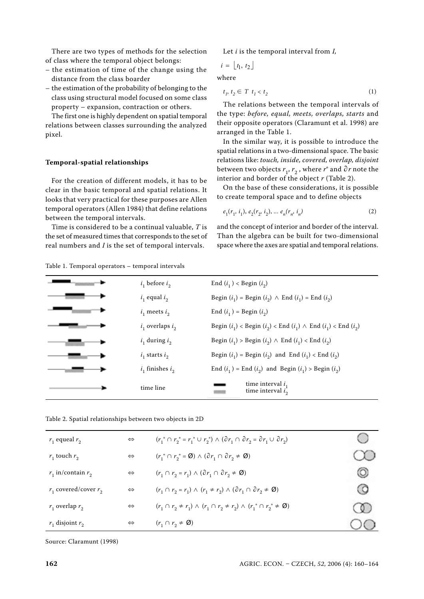There are two types of methods for the selection of class where the temporal object belongs:

- the estimation of time of the change using the distance from the class boarder
- the estimation of the probability of belonging to the class using structural model focused on some class property – expansion, contraction or others.

The first one is highly dependent on spatial temporal relations between classes surrounding the analyzed pixel.

#### **Temporal-spatial relationships**

For the creation of different models, it has to be clear in the basic temporal and spatial relations. It looks that very practical for these purposes are Allen temporal operators (Allen 1984) that define relations between the temporal intervals.

Time is considered to be a continual valuable, *T* is the set of measured times that corresponds to the set of real numbers and *I* is the set of temporal intervals.

Table 1. Temporal operators – temporal intervals

Let *i* is the temporal interval from *I*,

$$
i = \lfloor t_1, t_2 \rfloor
$$

where

$$
t_1, t_2 \in T \ t_1 < t_2 \tag{1}
$$

The relations between the temporal intervals of the type: *before, equal, meets, overlaps, starts* and their opposite operators (Claramunt et al. 1998) are arranged in the Table 1.

In the similar way, it is possible to introduce the spatial relations in a two-dimensional space. The basic relations like: *touch, inside, covered, overlap, disjoint* between two objects  $r_1$ ,  $r_2$ , where  $r<sup>°</sup>$  and  $\partial r$  note the interior and border of the object *r* (Table 2).

On the base of these considerations, it is possible to create temporal space and to define objects

$$
e_1(r_1, i_1), e_2(r_2, i_2), \dots e_n(r_n, i_n)
$$
 (2)

and the concept of interior and border of the interval. Than the algebra can be built for two-dimensional space where the axes are spatial and temporal relations.

| $i_1$ before $i_2$   | End $(i_1)$ < Begin $(i_2)$                                                    |
|----------------------|--------------------------------------------------------------------------------|
| $i_1$ equal $i_2$    | Begin $(i_1)$ = Begin $(i_2)$ $\wedge$ End $(i_1)$ = End $(i_2)$               |
| $i_1$ meets $i_2$    | End $(i_1)$ = Begin $(i_2)$                                                    |
| $i_1$ overlaps $i_2$ | Begin $(i_1)$ < Begin $(i_2)$ < End $(i_1)$ $\wedge$ End $(i_1)$ < End $(i_2)$ |
| $i_1$ during $i_2$   | Begin $(i_1)$ > Begin $(i_2)$ $\wedge$ End $(i_1)$ < End $(i_2)$               |
| $i_1$ starts $i_2$   | Begin $(i_1)$ = Begin $(i_2)$ and End $(i_1)$ < End $(i_2)$                    |
| $i_1$ finishes $i_2$ | End $(i_1)$ = End $(i_2)$ and Begin $(i_1)$ > Begin $(i_2)$                    |
| time line            | time interval $i_1$<br>time interval $i_{\alpha}$                              |

Table 2. Spatial relationships between two objects in 2D

| $r_1$ equeal $r_2$        | $\Leftrightarrow$ | $(r_1^{\circ} \cap r_2^{\circ} = r_1^{\circ} \cup r_2^{\circ}) \wedge (\partial r_1 \cap \partial r_2 = \partial r_1 \cup \partial r_2)$ | 0  |
|---------------------------|-------------------|------------------------------------------------------------------------------------------------------------------------------------------|----|
| $r_1$ touch $r_2$         | $\Leftrightarrow$ | $(r_1^{\circ} \cap r_2^{\circ} = \emptyset) \wedge (\partial r_1 \cap \partial r_2 \neq \emptyset)$                                      |    |
| $r_1$ in/contain $r_2$    | $\Leftrightarrow$ | $(r_1 \cap r_2 = r_1) \wedge (\partial r_1 \cap \partial r_2 \neq \emptyset)$                                                            | O  |
| $r_1$ covered/cover $r_2$ | $\Leftrightarrow$ | $(r_1 \cap r_2 = r_1) \wedge (r_1 \neq r_2) \wedge (\partial r_1 \cap \partial r_2 \neq \emptyset)$                                      | O) |
| $r_1$ overlap $r_2$       | $\Leftrightarrow$ | $(r_1 \cap r_2 \neq r_1) \wedge (r_1 \cap r_2 \neq r_2) \wedge (r_1^{\circ} \cap r_2^{\circ} \neq \emptyset)$                            |    |
| $r_1$ disjoint $r_2$      | $\Leftrightarrow$ | $(r_1 \cap r_2 \neq \emptyset)$                                                                                                          |    |

Source: Claramunt (1998)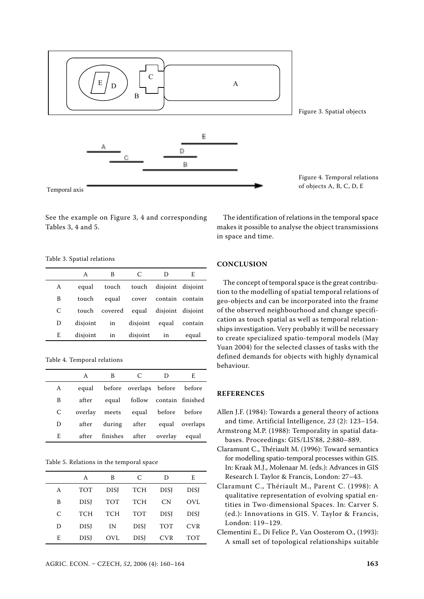

See the example on Figure 3, 4 and corresponding Tables 3, 4 and 5.

Table 3. Spatial relations

|   | A        | В                                     | C                           | Ð                       | F.            |
|---|----------|---------------------------------------|-----------------------------|-------------------------|---------------|
| A | equal    | touch                                 |                             | touch disjoint disjoint |               |
| B | touch    |                                       | equal cover contain contain |                         |               |
| C |          | touch covered equal disjoint disjoint |                             |                         |               |
| Ð | disjoint | in                                    | disjoint                    |                         | equal contain |
| E | disjoint | in                                    | disjoint                    | in                      | equal         |

Table 4. Temporal relations

|   | A     | В | C                                 | Ð       | E              |
|---|-------|---|-----------------------------------|---------|----------------|
| A | equal |   | before overlaps before before     |         |                |
| B | after |   | equal follow contain finished     |         |                |
| C |       |   | overlay meets equal before before |         |                |
| D | after |   | during after                      |         | equal overlaps |
| E | after |   | finishes after                    | overlav | equal          |

Table 5. Relations in the temporal space

|   | A           | B           | C           | Ð           | E          |
|---|-------------|-------------|-------------|-------------|------------|
| A | <b>TOT</b>  | <b>DISI</b> | <b>TCH</b>  | <b>DISI</b> | DISJ       |
| B | <b>DISI</b> | <b>TOT</b>  | <b>TCH</b>  | CN.         | OVI.       |
| C | <b>TCH</b>  | <b>TCH</b>  | <b>TOT</b>  | <b>DISI</b> | DISJ       |
| D | <b>DISI</b> | IN          | <b>DISI</b> | <b>TOT</b>  | <b>CVR</b> |
| E | <b>DISI</b> | OVL         | <b>DISI</b> | <b>CVR</b>  | TOT        |

The identification of relations in the temporal space makes it possible to analyse the object transmissions in space and time.

#### **CONCLUSION**

The concept of temporal space is the great contribution to the modelling of spatial temporal relations of geo-objects and can be incorporated into the frame of the observed neighbourhood and change specification as touch spatial as well as temporal relationships investigation. Very probably it will be necessary to create specialized spatio-temporal models (May Yuan 2004) for the selected classes of tasks with the defined demands for objects with highly dynamical behaviour.

#### **REFERENCES**

- Allen J.F. (1984): Towards a general theory of actions and time. Artificial Intelligence, *23* (2): 123–154.
- Armstrong M.P. (1988): Temporality in spatial databases. Proceedings: GIS/LIS'88, *2*:880–889.
- Claramunt C., Thériault M. (1996): Toward semantics for modelling spatio-temporal processes within GIS. In: Kraak M.J., Molenaar M. (eds.): Advances in GIS Research I. Taylor & Francis, London: 27–43.
- Claramunt C., Thériault M., Parent C. (1998): A qualitative representation of evolving spatial entities in Two-dimensional Spaces. In: Carver S. (ed.): Innovations in GIS. V. Taylor & Francis, London: 119–129.
- Clementini E., Di Felice P., Van Oosterom O., (1993): A small set of topological relationships suitable